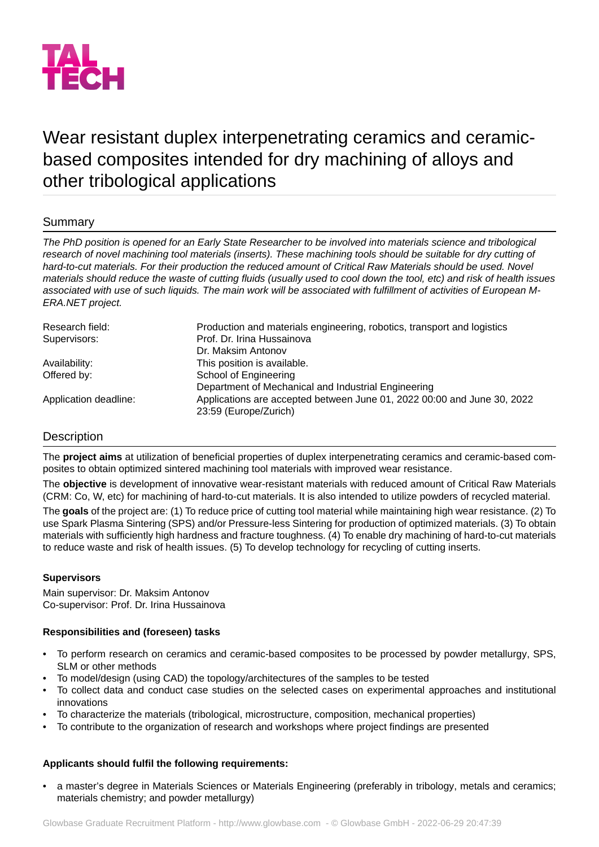

# Wear resistant duplex interpenetrating ceramics and ceramicbased composites intended for dry machining of alloys and other tribological applications

# Summary

*The PhD position is opened for an Early State Researcher to be involved into materials science and tribological research of novel machining tool materials (inserts). These machining tools should be suitable for dry cutting of hard-to-cut materials. For their production the reduced amount of Critical Raw Materials should be used. Novel materials should reduce the waste of cutting fluids (usually used to cool down the tool, etc) and risk of health issues associated with use of such liquids. The main work will be associated with fulfillment of activities of European M-ERA.NET project.*

| Production and materials engineering, robotics, transport and logistics                          |
|--------------------------------------------------------------------------------------------------|
| Prof. Dr. Irina Hussainova                                                                       |
| Dr. Maksim Antonov                                                                               |
| This position is available.                                                                      |
| School of Engineering                                                                            |
| Department of Mechanical and Industrial Engineering                                              |
| Applications are accepted between June 01, 2022 00:00 and June 30, 2022<br>23:59 (Europe/Zurich) |
|                                                                                                  |

# **Description**

The **project aims** at utilization of beneficial properties of duplex interpenetrating ceramics and ceramic-based composites to obtain optimized sintered machining tool materials with improved wear resistance.

The **objective** is development of innovative wear-resistant materials with reduced amount of Critical Raw Materials (CRM: Co, W, etc) for machining of hard-to-cut materials. It is also intended to utilize powders of recycled material.

The **goals** of the project are: (1) To reduce price of cutting tool material while maintaining high wear resistance. (2) To use Spark Plasma Sintering (SPS) and/or Pressure-less Sintering for production of optimized materials. (3) To obtain materials with sufficiently high hardness and fracture toughness. (4) To enable dry machining of hard-to-cut materials to reduce waste and risk of health issues. (5) To develop technology for recycling of cutting inserts.

# **Supervisors**

Main supervisor: Dr. Maksim Antonov Co-supervisor: Prof. Dr. Irina Hussainova

# **Responsibilities and (foreseen) tasks**

- To perform research on ceramics and ceramic-based composites to be processed by powder metallurgy, SPS, SLM or other methods
- To model/design (using CAD) the topology/architectures of the samples to be tested
- To collect data and conduct case studies on the selected cases on experimental approaches and institutional innovations
- To characterize the materials (tribological, microstructure, composition, mechanical properties)
- To contribute to the organization of research and workshops where project findings are presented

# **Applicants should fulfil the following requirements:**

• a master's degree in Materials Sciences or Materials Engineering (preferably in tribology, metals and ceramics; materials chemistry; and powder metallurgy)